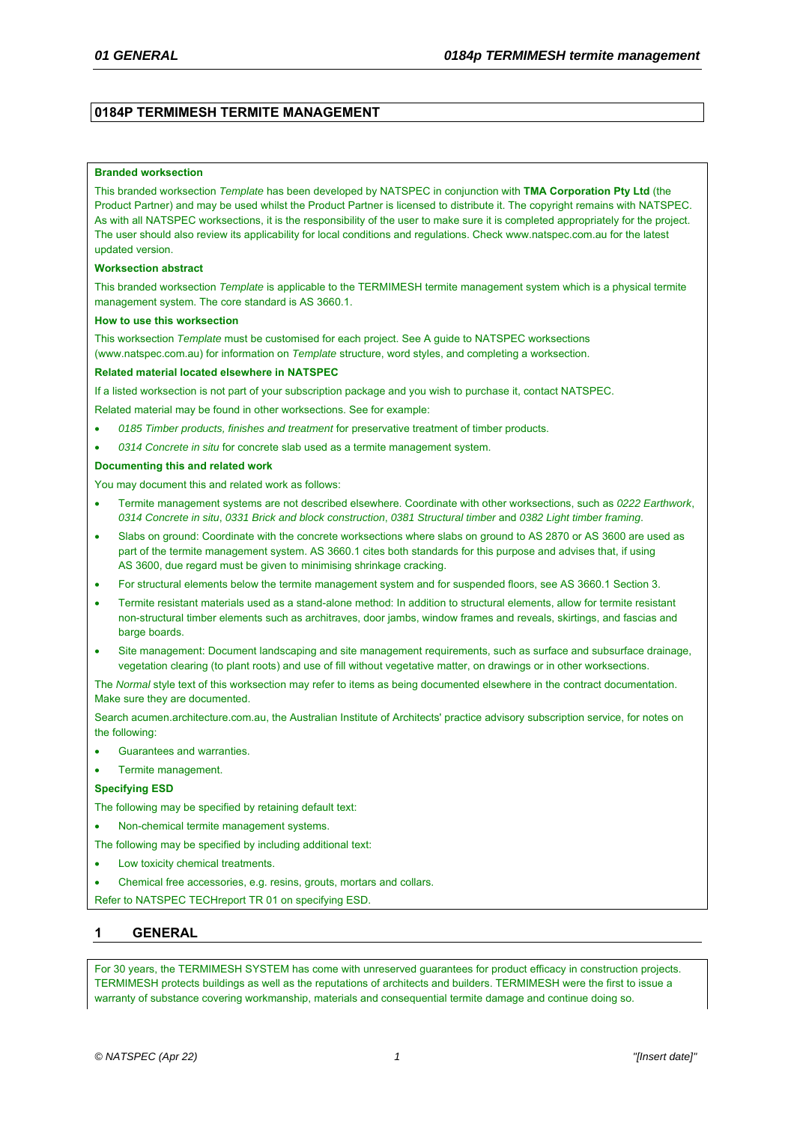## **0184P TERMIMESH TERMITE MANAGEMENT**

### **Branded worksection**

This branded worksection *Template* has been developed by NATSPEC in conjunction with **TMA Corporation Pty Ltd** (the Product Partner) and may be used whilst the Product Partner is licensed to distribute it. The copyright remains with NATSPEC. As with all NATSPEC worksections, it is the responsibility of the user to make sure it is completed appropriately for the project. The user should also review its applicability for local conditions and regulations. Check www.natspec.com.au for the latest updated version.

#### **Worksection abstract**

This branded worksection *Template* is applicable to the TERMIMESH termite management system which is a physical termite management system. The core standard is AS 3660.1.

#### **How to use this worksection**

This worksection *Template* must be customised for each project. See A guide to NATSPEC worksections (www.natspec.com.au) for information on *Template* structure, word styles, and completing a worksection.

#### **Related material located elsewhere in NATSPEC**

If a listed worksection is not part of your subscription package and you wish to purchase it, contact NATSPEC.

Related material may be found in other worksections. See for example:

- *0185 Timber products, finishes and treatment* for preservative treatment of timber products.
- *0314 Concrete in situ* for concrete slab used as a termite management system.

#### **Documenting this and related work**

You may document this and related work as follows:

- Termite management systems are not described elsewhere. Coordinate with other worksections, such as *0222 Earthwork*, *0314 Concrete in situ*, *0331 Brick and block construction*, *0381 Structural timber* and *0382 Light timber framing*.
- Slabs on ground: Coordinate with the concrete worksections where slabs on ground to AS 2870 or AS 3600 are used as part of the termite management system. AS 3660.1 cites both standards for this purpose and advises that, if using AS 3600, due regard must be given to minimising shrinkage cracking.
- For structural elements below the termite management system and for suspended floors, see AS 3660.1 Section 3.
- Termite resistant materials used as a stand-alone method: In addition to structural elements, allow for termite resistant non-structural timber elements such as architraves, door jambs, window frames and reveals, skirtings, and fascias and barge boards.
- Site management: Document landscaping and site management requirements, such as surface and subsurface drainage, vegetation clearing (to plant roots) and use of fill without vegetative matter, on drawings or in other worksections.

The *Normal* style text of this worksection may refer to items as being documented elsewhere in the contract documentation. Make sure they are documented.

Search acumen.architecture.com.au, the Australian Institute of Architects' practice advisory subscription service, for notes on the following:

- Guarantees and warranties.
- Termite management.

### **Specifying ESD**

The following may be specified by retaining default text:

- Non-chemical termite management systems.
- The following may be specified by including additional text:
- Low toxicity chemical treatments.
- Chemical free accessories, e.g. resins, grouts, mortars and collars.

Refer to NATSPEC TECHreport TR 01 on specifying ESD.

# **1 GENERAL**

For 30 years, the TERMIMESH SYSTEM has come with unreserved guarantees for product efficacy in construction projects. TERMIMESH protects buildings as well as the reputations of architects and builders. TERMIMESH were the first to issue a warranty of substance covering workmanship, materials and consequential termite damage and continue doing so.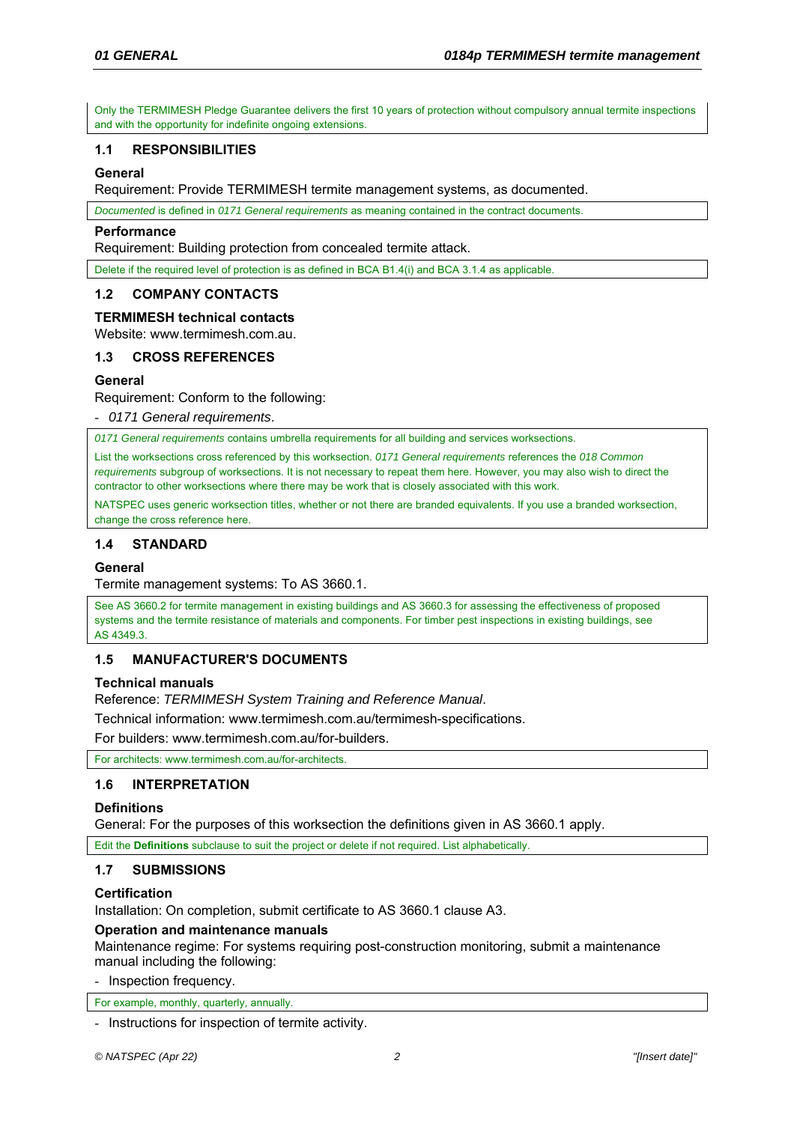Only the TERMIMESH Pledge Guarantee delivers the first 10 years of protection without compulsory annual termite inspections and with the opportunity for indefinite ongoing extensions.

## **1.1 RESPONSIBILITIES**

## **General**

Requirement: Provide TERMIMESH termite management systems, as documented.

*Documented* is defined in *0171 General requirements* as meaning contained in the contract documents.

### **Performance**

Requirement: Building protection from concealed termite attack.

Delete if the required level of protection is as defined in BCA B1.4(i) and BCA 3.1.4 as applicable.

## **1.2 COMPANY CONTACTS**

### **TERMIMESH technical contacts**

Website: www.termimesh.com.au.

## **1.3 CROSS REFERENCES**

## **General**

Requirement: Conform to the following:

- *0171 General requirements*.

*0171 General requirements* contains umbrella requirements for all building and services worksections.

List the worksections cross referenced by this worksection. *0171 General requirements* references the *018 Common requirements* subgroup of worksections. It is not necessary to repeat them here. However, you may also wish to direct the contractor to other worksections where there may be work that is closely associated with this work.

NATSPEC uses generic worksection titles, whether or not there are branded equivalents. If you use a branded worksection, change the cross reference here.

## **1.4 STANDARD**

## **General**

Termite management systems: To AS 3660.1.

See AS 3660.2 for termite management in existing buildings and AS 3660.3 for assessing the effectiveness of proposed systems and the termite resistance of materials and components. For timber pest inspections in existing buildings, see AS 4349.3.

## **1.5 MANUFACTURER'S DOCUMENTS**

### **Technical manuals**

Reference: *TERMIMESH System Training and Reference Manual*.

Technical information: www.termimesh.com.au/termimesh-specifications.

For builders: www.termimesh.com.au/for-builders.

For architects: www.termimesh.com.au/for-architects.

# **1.6 INTERPRETATION**

## **Definitions**

General: For the purposes of this worksection the definitions given in AS 3660.1 apply.

Edit the **Definitions** subclause to suit the project or delete if not required. List alphabetically.

## **1.7 SUBMISSIONS**

## **Certification**

Installation: On completion, submit certificate to AS 3660.1 clause A3.

## **Operation and maintenance manuals**

Maintenance regime: For systems requiring post-construction monitoring, submit a maintenance manual including the following:

- Inspection frequency.

For example, monthly, quarterly, annually.

- Instructions for inspection of termite activity.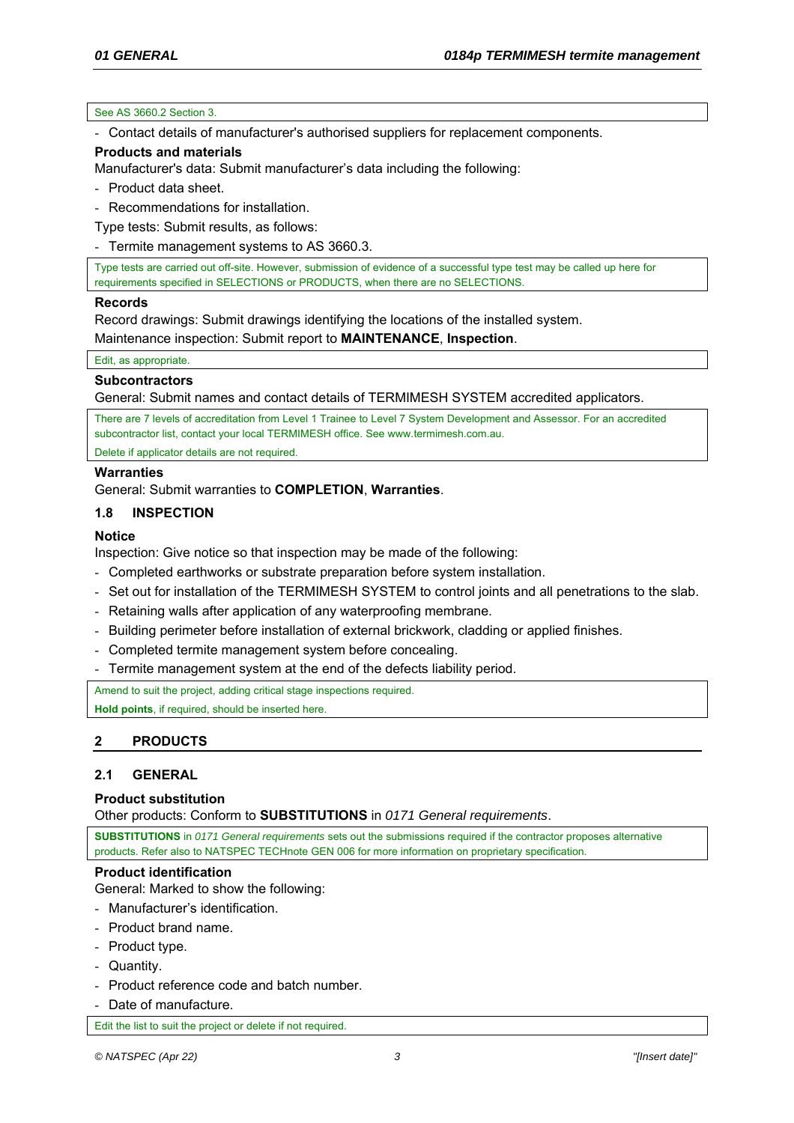### See AS 3660.2 Section 3.

- Contact details of manufacturer's authorised suppliers for replacement components.

## **Products and materials**

Manufacturer's data: Submit manufacturer's data including the following:

- Product data sheet.

- Recommendations for installation.

Type tests: Submit results, as follows:

- Termite management systems to AS 3660.3.

Type tests are carried out off-site. However, submission of evidence of a successful type test may be called up here for requirements specified in SELECTIONS or PRODUCTS, when there are no SELECTIONS.

## **Records**

Record drawings: Submit drawings identifying the locations of the installed system.

Maintenance inspection: Submit report to **MAINTENANCE**, **Inspection**.

Edit, as appropriate.

## **Subcontractors**

General: Submit names and contact details of TERMIMESH SYSTEM accredited applicators.

There are 7 levels of accreditation from Level 1 Trainee to Level 7 System Development and Assessor. For an accredited subcontractor list, contact your local TERMIMESH office. See www.termimesh.com.au.

Delete if applicator details are not required.

# **Warranties**

General: Submit warranties to **COMPLETION**, **Warranties**.

# **1.8 INSPECTION**

## **Notice**

Inspection: Give notice so that inspection may be made of the following:

- Completed earthworks or substrate preparation before system installation.
- Set out for installation of the TERMIMESH SYSTEM to control joints and all penetrations to the slab.
- Retaining walls after application of any waterproofing membrane.
- Building perimeter before installation of external brickwork, cladding or applied finishes.
- Completed termite management system before concealing.
- Termite management system at the end of the defects liability period.

Amend to suit the project, adding critical stage inspections required.

**Hold points**, if required, should be inserted here.

# **2 PRODUCTS**

# **2.1 GENERAL**

## **Product substitution**

Other products: Conform to **SUBSTITUTIONS** in *0171 General requirements*.

**SUBSTITUTIONS** in *0171 General requirements* sets out the submissions required if the contractor proposes alternative products. Refer also to NATSPEC TECHnote GEN 006 for more information on proprietary specification.

## **Product identification**

General: Marked to show the following:

- Manufacturer's identification.
- Product brand name.
- Product type.
- Quantity.
- Product reference code and batch number.
- Date of manufacture.

Edit the list to suit the project or delete if not required.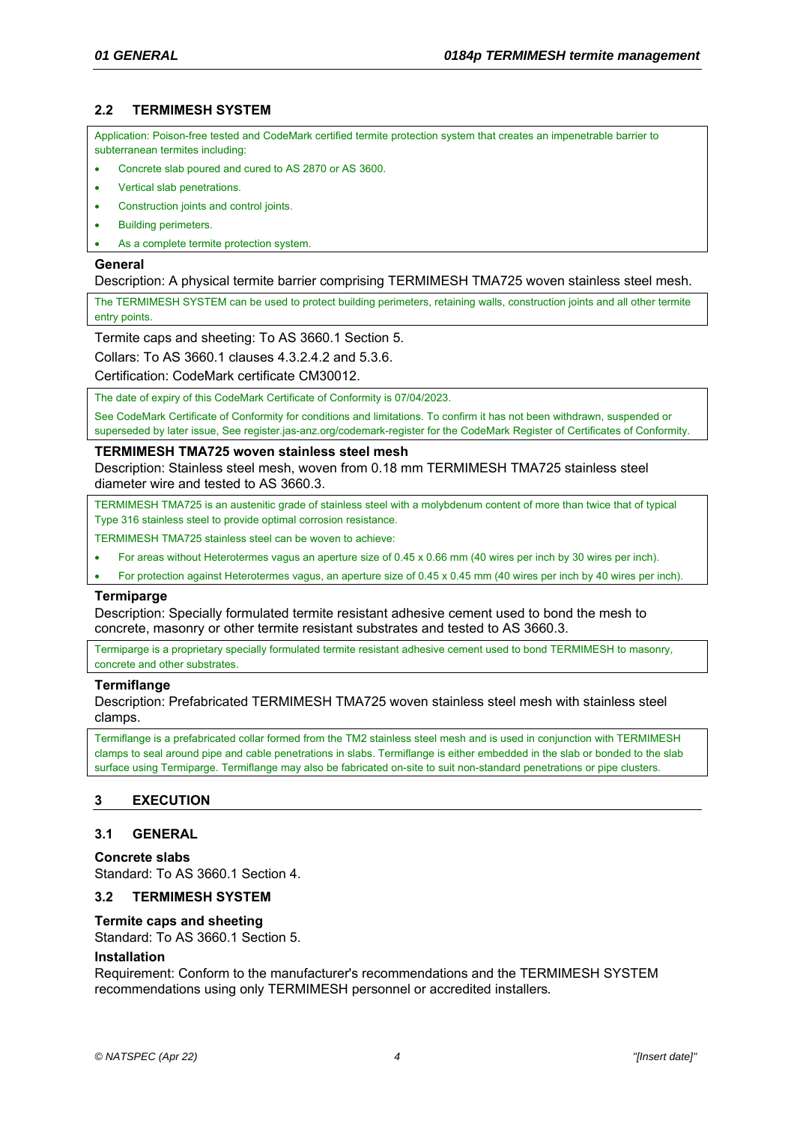# **2.2 TERMIMESH SYSTEM**

Application: Poison-free tested and CodeMark certified termite protection system that creates an impenetrable barrier to subterranean termites including:

- Concrete slab poured and cured to AS 2870 or AS 3600.
- Vertical slab penetrations.
- Construction joints and control joints.
- Building perimeters.
- As a complete termite protection system.

### **General**

Description: A physical termite barrier comprising TERMIMESH TMA725 woven stainless steel mesh.

The TERMIMESH SYSTEM can be used to protect building perimeters, retaining walls, construction joints and all other termite entry points.

Termite caps and sheeting: To AS 3660.1 Section 5.

Collars: To AS 3660.1 clauses 4.3.2.4.2 and 5.3.6.

Certification: CodeMark certificate CM30012.

The date of expiry of this CodeMark Certificate of Conformity is 07/04/2023.

See CodeMark Certificate of Conformity for conditions and limitations. To confirm it has not been withdrawn, suspended or superseded by later issue, See register.jas-anz.org/codemark-register for the CodeMark Register of Certificates of Conformity.

## **TERMIMESH TMA725 woven stainless steel mesh**

Description: Stainless steel mesh, woven from 0.18 mm TERMIMESH TMA725 stainless steel diameter wire and tested to AS 3660.3.

TERMIMESH TMA725 is an austenitic grade of stainless steel with a molybdenum content of more than twice that of typical Type 316 stainless steel to provide optimal corrosion resistance.

TERMIMESH TMA725 stainless steel can be woven to achieve:

- For areas without Heterotermes vagus an aperture size of 0.45 x 0.66 mm (40 wires per inch by 30 wires per inch).
- For protection against Heterotermes vagus, an aperture size of 0.45 x 0.45 mm (40 wires per inch by 40 wires per inch).

### **Termiparge**

Description: Specially formulated termite resistant adhesive cement used to bond the mesh to concrete, masonry or other termite resistant substrates and tested to AS 3660.3.

Termiparge is a proprietary specially formulated termite resistant adhesive cement used to bond TERMIMESH to masonry, concrete and other substrates.

### **Termiflange**

Description: Prefabricated TERMIMESH TMA725 woven stainless steel mesh with stainless steel clamps.

Termiflange is a prefabricated collar formed from the TM2 stainless steel mesh and is used in conjunction with TERMIMESH clamps to seal around pipe and cable penetrations in slabs. Termiflange is either embedded in the slab or bonded to the slab surface using Termiparge. Termiflange may also be fabricated on-site to suit non-standard penetrations or pipe clusters.

# **3 EXECUTION**

## **3.1 GENERAL**

## **Concrete slabs**

Standard: To AS 3660.1 Section 4.

# **3.2 TERMIMESH SYSTEM**

## **Termite caps and sheeting**

Standard: To AS 3660.1 Section 5.

## **Installation**

Requirement: Conform to the manufacturer's recommendations and the TERMIMESH SYSTEM recommendations using only TERMIMESH personnel or accredited installers*.*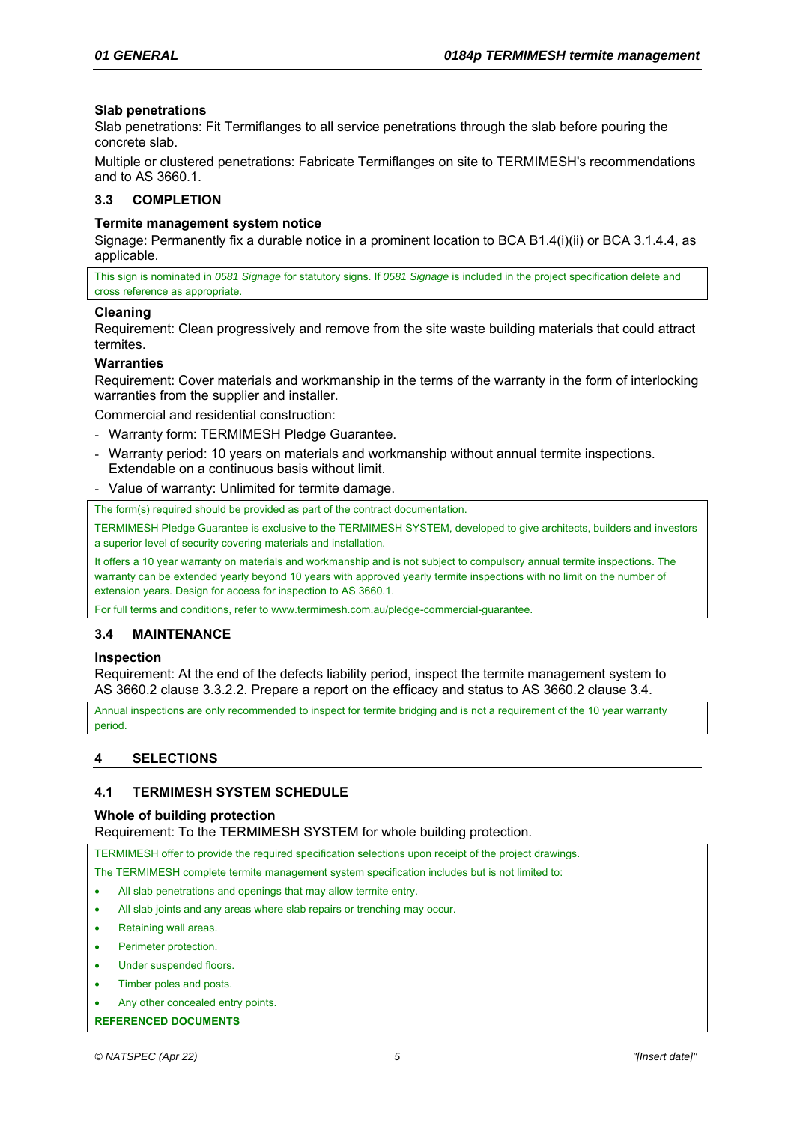## **Slab penetrations**

Slab penetrations: Fit Termiflanges to all service penetrations through the slab before pouring the concrete slab.

Multiple or clustered penetrations: Fabricate Termiflanges on site to TERMIMESH's recommendations and to AS 3660.1.

## **3.3 COMPLETION**

## **Termite management system notice**

Signage: Permanently fix a durable notice in a prominent location to BCA B1.4(i)(ii) or BCA 3.1.4.4, as applicable.

This sign is nominated in *0581 Signage* for statutory signs. If *0581 Signage* is included in the project specification delete and cross reference as appropriate.

## **Cleaning**

Requirement: Clean progressively and remove from the site waste building materials that could attract termites.

## **Warranties**

Requirement: Cover materials and workmanship in the terms of the warranty in the form of interlocking warranties from the supplier and installer.

Commercial and residential construction:

- Warranty form: TERMIMESH Pledge Guarantee.
- Warranty period: 10 years on materials and workmanship without annual termite inspections. Extendable on a continuous basis without limit.
- Value of warranty: Unlimited for termite damage.

The form(s) required should be provided as part of the contract documentation.

TERMIMESH Pledge Guarantee is exclusive to the TERMIMESH SYSTEM, developed to give architects, builders and investors a superior level of security covering materials and installation.

It offers a 10 year warranty on materials and workmanship and is not subject to compulsory annual termite inspections. The warranty can be extended yearly beyond 10 years with approved yearly termite inspections with no limit on the number of extension years. Design for access for inspection to AS 3660.1.

For full terms and conditions, refer to www.termimesh.com.au/pledge-commercial-guarantee.

# **3.4 MAINTENANCE**

## **Inspection**

Requirement: At the end of the defects liability period, inspect the termite management system to AS 3660.2 clause 3.3.2.2. Prepare a report on the efficacy and status to AS 3660.2 clause 3.4.

Annual inspections are only recommended to inspect for termite bridging and is not a requirement of the 10 year warranty period

# **4 SELECTIONS**

# **4.1 TERMIMESH SYSTEM SCHEDULE**

## **Whole of building protection**

Requirement: To the TERMIMESH SYSTEM for whole building protection.

TERMIMESH offer to provide the required specification selections upon receipt of the project drawings.

The TERMIMESH complete termite management system specification includes but is not limited to:

- All slab penetrations and openings that may allow termite entry.
- All slab joints and any areas where slab repairs or trenching may occur.
- Retaining wall areas.
- Perimeter protection.
- Under suspended floors.
- Timber poles and posts.
- Any other concealed entry points.

**REFERENCED DOCUMENTS**